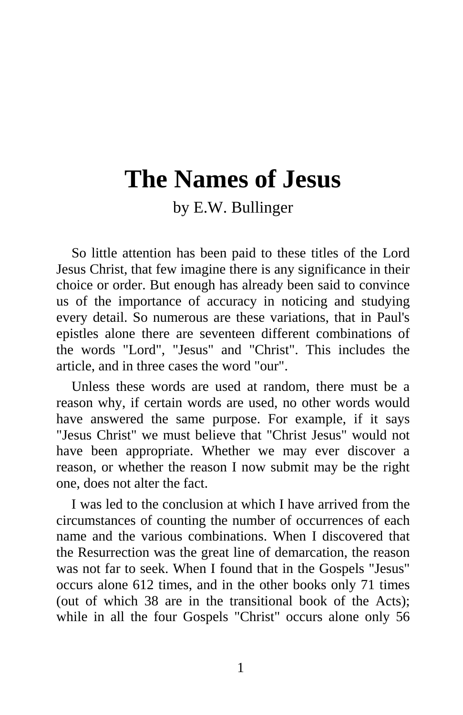# **The Names of Jesus**

by E.W. Bullinger

So little attention has been paid to these titles of the Lord Jesus Christ, that few imagine there is any significance in their choice or order. But enough has already been said to convince us of the importance of accuracy in noticing and studying every detail. So numerous are these variations, that in Paul's epistles alone there are seventeen different combinations of the words "Lord", "Jesus" and "Christ". This includes the article, and in three cases the word "our".

Unless these words are used at random, there must be a reason why, if certain words are used, no other words would have answered the same purpose. For example, if it says "Jesus Christ" we must believe that "Christ Jesus" would not have been appropriate. Whether we may ever discover a reason, or whether the reason I now submit may be the right one, does not alter the fact.

I was led to the conclusion at which I have arrived from the circumstances of counting the number of occurrences of each name and the various combinations. When I discovered that the Resurrection was the great line of demarcation, the reason was not far to seek. When I found that in the Gospels "Jesus" occurs alone 612 times, and in the other books only 71 times (out of which 38 are in the transitional book of the Acts); while in all the four Gospels "Christ" occurs alone only 56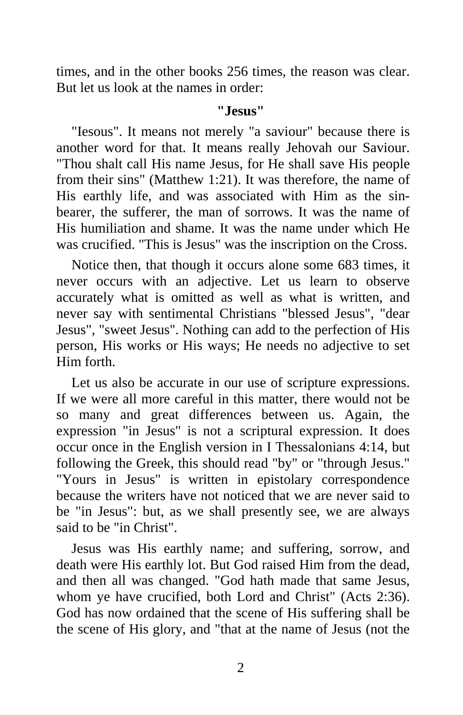times, and in the other books 256 times, the reason was clear. But let us look at the names in order:

#### **"Jesus"**

"Iesous". It means not merely "a saviour" because there is another word for that. It means really Jehovah our Saviour. "Thou shalt call His name Jesus, for He shall save His people from their sins" (Matthew 1:21). It was therefore, the name of His earthly life, and was associated with Him as the sinbearer, the sufferer, the man of sorrows. It was the name of His humiliation and shame. It was the name under which He was crucified. "This is Jesus" was the inscription on the Cross.

Notice then, that though it occurs alone some 683 times, it never occurs with an adjective. Let us learn to observe accurately what is omitted as well as what is written, and never say with sentimental Christians "blessed Jesus", "dear Jesus", "sweet Jesus". Nothing can add to the perfection of His person, His works or His ways; He needs no adjective to set Him forth.

Let us also be accurate in our use of scripture expressions. If we were all more careful in this matter, there would not be so many and great differences between us. Again, the expression "in Jesus" is not a scriptural expression. It does occur once in the English version in I Thessalonians 4:14, but following the Greek, this should read "by" or "through Jesus." "Yours in Jesus" is written in epistolary correspondence because the writers have not noticed that we are never said to be "in Jesus": but, as we shall presently see, we are always said to be "in Christ".

Jesus was His earthly name; and suffering, sorrow, and death were His earthly lot. But God raised Him from the dead, and then all was changed. "God hath made that same Jesus, whom ye have crucified, both Lord and Christ" (Acts 2:36). God has now ordained that the scene of His suffering shall be the scene of His glory, and "that at the name of Jesus (not the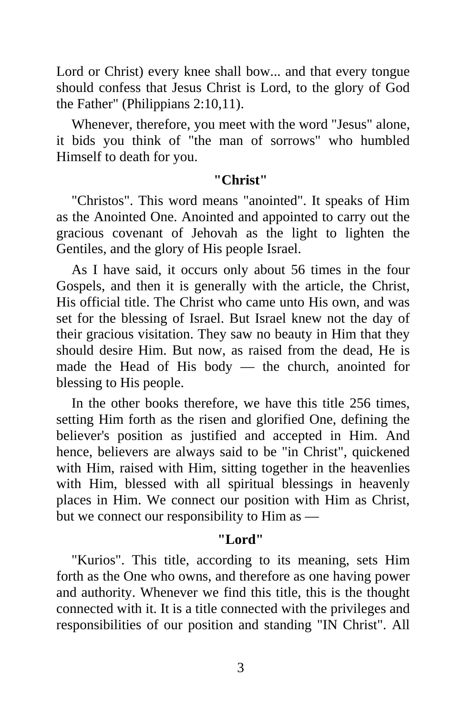Lord or Christ) every knee shall bow... and that every tongue should confess that Jesus Christ is Lord, to the glory of God the Father" (Philippians 2:10,11).

Whenever, therefore, you meet with the word "Jesus" alone, it bids you think of "the man of sorrows" who humbled Himself to death for you.

#### **"Christ"**

"Christos". This word means "anointed". It speaks of Him as the Anointed One. Anointed and appointed to carry out the gracious covenant of Jehovah as the light to lighten the Gentiles, and the glory of His people Israel.

As I have said, it occurs only about 56 times in the four Gospels, and then it is generally with the article, the Christ, His official title. The Christ who came unto His own, and was set for the blessing of Israel. But Israel knew not the day of their gracious visitation. They saw no beauty in Him that they should desire Him. But now, as raised from the dead, He is made the Head of His body — the church, anointed for blessing to His people.

In the other books therefore, we have this title 256 times, setting Him forth as the risen and glorified One, defining the believer's position as justified and accepted in Him. And hence, believers are always said to be "in Christ", quickened with Him, raised with Him, sitting together in the heavenlies with Him, blessed with all spiritual blessings in heavenly places in Him. We connect our position with Him as Christ, but we connect our responsibility to Him as —

# **"Lord"**

"Kurios". This title, according to its meaning, sets Him forth as the One who owns, and therefore as one having power and authority. Whenever we find this title, this is the thought connected with it. It is a title connected with the privileges and responsibilities of our position and standing "IN Christ". All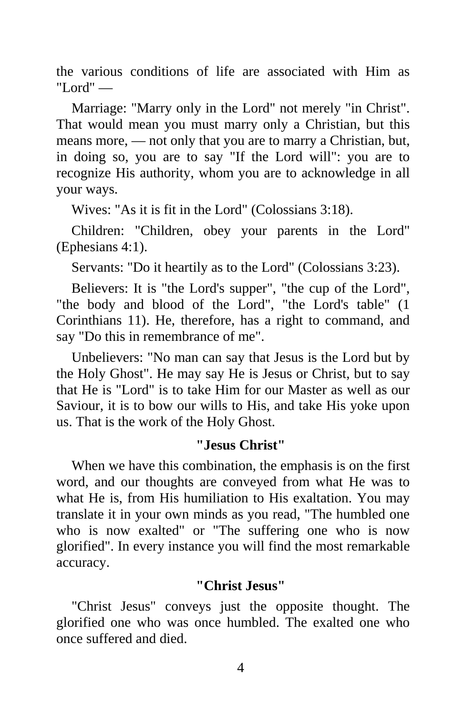the various conditions of life are associated with Him as "Lord" —

Marriage: "Marry only in the Lord" not merely "in Christ". That would mean you must marry only a Christian, but this means more, — not only that you are to marry a Christian, but, in doing so, you are to say "If the Lord will": you are to recognize His authority, whom you are to acknowledge in all your ways.

Wives: "As it is fit in the Lord" (Colossians 3:18).

Children: "Children, obey your parents in the Lord" (Ephesians 4:1).

Servants: "Do it heartily as to the Lord" (Colossians 3:23).

Believers: It is "the Lord's supper", "the cup of the Lord", "the body and blood of the Lord", "the Lord's table" (1 Corinthians 11). He, therefore, has a right to command, and say "Do this in remembrance of me".

Unbelievers: "No man can say that Jesus is the Lord but by the Holy Ghost". He may say He is Jesus or Christ, but to say that He is "Lord" is to take Him for our Master as well as our Saviour, it is to bow our wills to His, and take His yoke upon us. That is the work of the Holy Ghost.

# **"Jesus Christ"**

When we have this combination, the emphasis is on the first word, and our thoughts are conveyed from what He was to what He is, from His humiliation to His exaltation. You may translate it in your own minds as you read, "The humbled one who is now exalted" or "The suffering one who is now glorified". In every instance you will find the most remarkable accuracy.

# **"Christ Jesus"**

"Christ Jesus" conveys just the opposite thought. The glorified one who was once humbled. The exalted one who once suffered and died.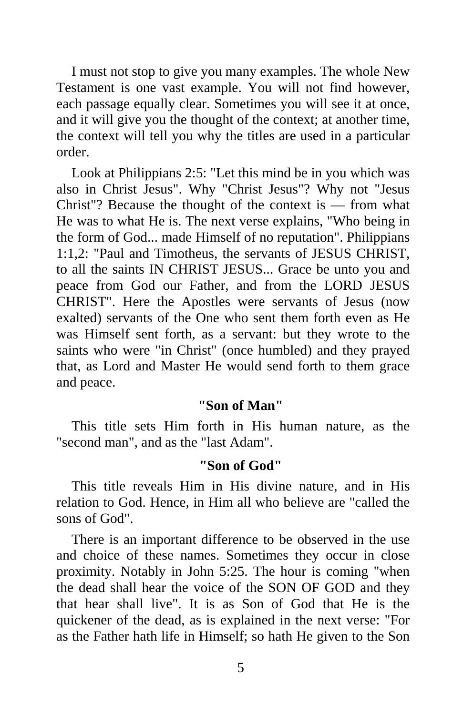I must not stop to give you many examples. The whole New Testament is one vast example. You will not find however, each passage equally clear. Sometimes you will see it at once, and it will give you the thought of the context; at another time, the context will tell you why the titles are used in a particular order.

Look at Philippians 2:5: "Let this mind be in you which was also in Christ Jesus". Why "Christ Jesus"? Why not "Jesus Christ"? Because the thought of the context is — from what He was to what He is. The next verse explains, "Who being in the form of God... made Himself of no reputation". Philippians 1:1,2: "Paul and Timotheus, the servants of JESUS CHRIST, to all the saints IN CHRIST JESUS... Grace be unto you and peace from God our Father, and from the LORD JESUS CHRIST". Here the Apostles were servants of Jesus (now exalted) servants of the One who sent them forth even as He was Himself sent forth, as a servant: but they wrote to the saints who were "in Christ" (once humbled) and they prayed that, as Lord and Master He would send forth to them grace and peace.

#### **"Son of Man"**

This title sets Him forth in His human nature, as the "second man", and as the "last Adam".

#### **"Son of God"**

This title reveals Him in His divine nature, and in His relation to God. Hence, in Him all who believe are "called the sons of God".

There is an important difference to be observed in the use and choice of these names. Sometimes they occur in close proximity. Notably in John 5:25. The hour is coming "when the dead shall hear the voice of the SON OF GOD and they that hear shall live". It is as Son of God that He is the quickener of the dead, as is explained in the next verse: "For as the Father hath life in Himself; so hath He given to the Son